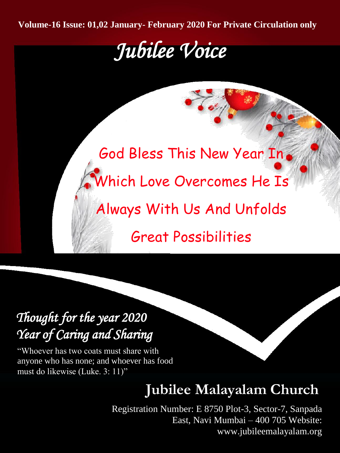**Volume-16 Issue: 01,02 January- February 2020 For Private Circulation only**

# *Jubilee Voice*

God Bless This New Year In Which Love Overcomes He Is Always With Us And Unfolds Great Possibilities

# *Thought for the year 2020 Year of Caring and Sharing*

"Whoever has two coats must share with anyone who has none; and whoever has food must do likewise (Luke. 3: 11)"

# **Jubilee Malayalam Church**

Registration Number: E 8750 Plot-3, Sector-7, Sanpada East, Navi Mumbai – 400 705 Website: www.jubileemalayalam.org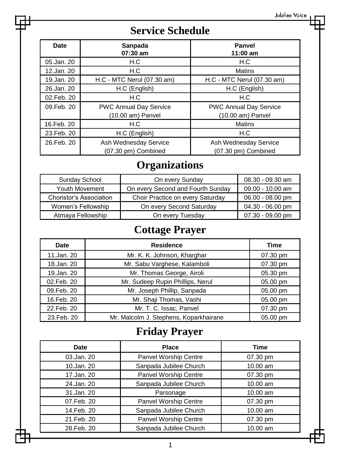### **Service Schedule**

| Date        | Sanpada<br>07:30 am           | Panvel<br>$11:00$ am          |
|-------------|-------------------------------|-------------------------------|
| 05.Jan. 20  | H.C                           | H.C                           |
| 12.Jan. 20  | H.C                           | <b>Matins</b>                 |
| 19.Jan. 20  | H.C - MTC Nerul (07.30 am)    | H.C - MTC Nerul (07.30 am)    |
| 26.Jan. 20  | H.C (English)                 | H.C (English)                 |
| 02.Feb. 20  | H.C                           | H.C                           |
| 09. Feb. 20 | <b>PWC Annual Day Service</b> | <b>PWC Annual Day Service</b> |
|             | (10.00 am) Panvel             | (10.00 am) Panvel             |
| 16.Feb. 20  | H.C                           | <b>Matins</b>                 |
| 23. Feb. 20 | H.C (English)                 | H.C                           |
| 26. Feb. 20 | Ash Wednesday Service         | Ash Wednesday Service         |
|             | (07.30 pm) Combined           | (07.30 pm) Combined           |

### **Organizations**

| Sunday School                  | On every Sunday                   | 08.30 - 09.30 am   |
|--------------------------------|-----------------------------------|--------------------|
| <b>Youth Movement</b>          | On every Second and Fourth Sunday | 09.00 - 10.00 am   |
| <b>Choristor's Association</b> | Choir Practice on every Saturday  | 06.00 - 08.00 pm   |
| Women's Fellowship             | On every Second Saturday          | 04.30 - 06.00 pm   |
| Atmaya Fellowship              | On every Tuesday                  | $07.30 - 09.00$ pm |

### **Cottage Prayer**

| <b>Date</b> | <b>Residence</b>                       | Time     |
|-------------|----------------------------------------|----------|
| 11.Jan. 20  | Mr. K. K. Johnson, Kharghar            | 07.30 pm |
| 18.Jan. 20  | Mr. Sabu Varghese, Kalamboli           | 07.30 pm |
| 19.Jan. 20  | Mr. Thomas George, Airoli              | 05.30 pm |
| 02.Feb. 20  | Mr. Sudeep Rupin Phillips, Nerul       | 05.00 pm |
| 09.Feb. 20  | Mr. Joseph Phillip, Sanpada            | 05.00 pm |
| 16.Feb. 20  | Mr. Shaji Thomas, Vashi                | 05.00 pm |
| 22. Feb. 20 | Mr. T. C. Issac, Panvel                | 07.30 pm |
| 23. Feb. 20 | Mr. Malcolm J. Stephens, Koparkhairane | 05.00 pm |

### **Friday Prayer**

| Date        | <b>Place</b>           | <b>Time</b> |
|-------------|------------------------|-------------|
| 03.Jan. 20  | Panvel Worship Centre  | 07.30 pm    |
| 10.Jan. 20  | Sanpada Jubilee Church | 10.00 am    |
| 17.Jan. 20  | Panvel Worship Centre  | 07.30 pm    |
| 24.Jan. 20  | Sanpada Jubilee Church | 10.00 am    |
| 31.Jan. 20  | Parsonage              | 10.00 am    |
| 07.Feb. 20  | Panvel Worship Centre  | 07.30 pm    |
| 14. Feb. 20 | Sanpada Jubilee Church | 10.00 am    |
| 21.Feb. 20  | Panvel Worship Centre  | 07.30 pm    |
| 28. Feb. 20 | Sanpada Jubilee Church | 10.00 am    |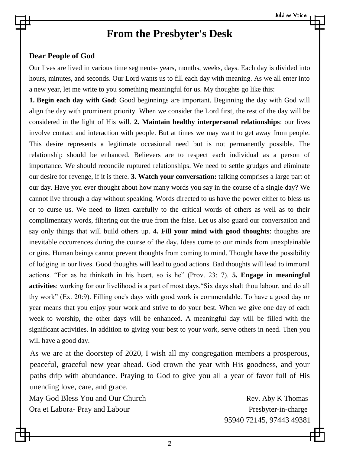### **From the Presbyter's Desk**

#### **Dear People of God**

Our lives are lived in various time segments- years, months, weeks, days. Each day is divided into hours, minutes, and seconds. Our Lord wants us to fill each day with meaning. As we all enter into a new year, let me write to you something meaningful for us. My thoughts go like this:

**1. Begin each day with God**: Good beginnings are important. Beginning the day with God will align the day with prominent priority. When we consider the Lord first, the rest of the day will be considered in the light of His will. **2. Maintain healthy interpersonal relationships**: our lives involve contact and interaction with people. But at times we may want to get away from people. This desire represents a legitimate occasional need but is not permanently possible. The relationship should be enhanced. Believers are to respect each individual as a person of importance. We should reconcile ruptured relationships. We need to settle grudges and eliminate our desire for revenge, if it is there. **3. Watch your conversation:** talking comprises a large part of our day. Have you ever thought about how many words you say in the course of a single day? We cannot live through a day without speaking. Words directed to us have the power either to bless us or to curse us. We need to listen carefully to the critical words of others as well as to their complimentary words, filtering out the true from the false. Let us also guard our conversation and say only things that will build others up. **4. Fill your mind with good thoughts**: thoughts are inevitable occurrences during the course of the day. Ideas come to our minds from unexplainable origins. Human beings cannot prevent thoughts from coming to mind. Thought have the possibility of lodging in our lives. Good thoughts will lead to good actions. Bad thoughts will lead to immoral actions. "For as he thinketh in his heart, so is he" (Prov. 23: 7). **5. Engage in meaningful activities**: working for our livelihood is a part of most days."Six days shalt thou labour, and do all thy work" (Ex. 20:9). Filling one's days with good work is commendable. To have a good day or year means that you enjoy your work and strive to do your best. When we give one day of each week to worship, the other days will be enhanced. A meaningful day will be filled with the significant activities. In addition to giving your best to your work, serve others in need. Then you will have a good day.

As we are at the doorstep of 2020, I wish all my congregation members a prosperous, peaceful, graceful new year ahead. God crown the year with His goodness, and your paths drip with abundance. Praying to God to give you all a year of favor full of His unending love, care, and grace.

May God Bless You and Our Church Rev. Aby K Thomas Ora et Labora- Pray and Labour **Presbyter-in-charge** Presbyter-in-charge

95940 72145, 97443 49381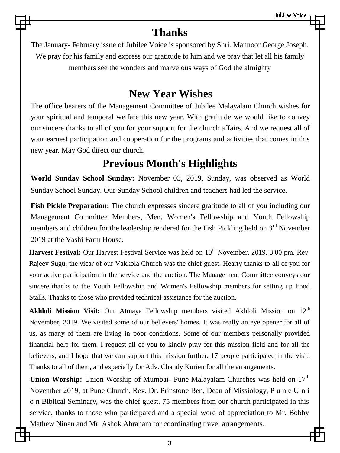### **Thanks**

The January- February issue of Jubilee Voice is sponsored by Shri. Mannoor George Joseph. We pray for his family and express our gratitude to him and we pray that let all his family members see the wonders and marvelous ways of God the almighty

### **New Year Wishes**

The office bearers of the Management Committee of Jubilee Malayalam Church wishes for your spiritual and temporal welfare this new year. With gratitude we would like to convey our sincere thanks to all of you for your support for the church affairs. And we request all of your earnest participation and cooperation for the programs and activities that comes in this new year. May God direct our church.

### **Previous Month's Highlights**

**World Sunday School Sunday:** November 03, 2019, Sunday, was observed as World Sunday School Sunday. Our Sunday School children and teachers had led the service.

**Fish Pickle Preparation:** The church expresses sincere gratitude to all of you including our Management Committee Members, Men, Women's Fellowship and Youth Fellowship members and children for the leadership rendered for the Fish Pickling held on  $3<sup>rd</sup>$  November 2019 at the Vashi Farm House.

Harvest Festival: Our Harvest Festival Service was held on 10<sup>th</sup> November, 2019, 3.00 pm. Rev. Rajeev Sugu, the vicar of our Vakkola Church was the chief guest. Hearty thanks to all of you for your active participation in the service and the auction. The Management Committee conveys our sincere thanks to the Youth Fellowship and Women's Fellowship members for setting up Food Stalls. Thanks to those who provided technical assistance for the auction.

**Akhloli Mission Visit:** Our Atmaya Fellowship members visited Akhloli Mission on 12<sup>th</sup> November, 2019. We visited some of our believers' homes. It was really an eye opener for all of us, as many of them are living in poor conditions. Some of our members personally provided financial help for them. I request all of you to kindly pray for this mission field and for all the believers, and I hope that we can support this mission further. 17 people participated in the visit. Thanks to all of them, and especially for Adv. Chandy Kurien for all the arrangements.

**Union Worship:** Union Worship of Mumbai- Pune Malayalam Churches was held on 17<sup>th</sup> November 2019, at Pune Church. Rev. Dr. Prinstone Ben, Dean of Missiology, P u n e U n i o n Biblical Seminary, was the chief guest. 75 members from our church participated in this service, thanks to those who participated and a special word of appreciation to Mr. Bobby Mathew Ninan and Mr. Ashok Abraham for coordinating travel arrangements.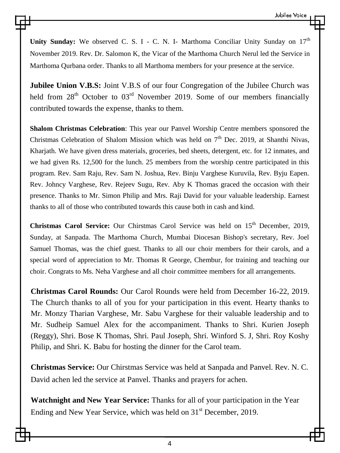Unity Sunday: We observed C. S. I - C. N. I- Marthoma Conciliar Unity Sunday on  $17<sup>th</sup>$ November 2019. Rev. Dr. Salomon K, the Vicar of the Marthoma Church Nerul led the Service in Marthoma Qurbana order. Thanks to all Marthoma members for your presence at the service.

**Jubilee Union V.B.S:** Joint V.B.S of our four Congregation of the Jubilee Church was held from  $28<sup>th</sup>$  October to  $03<sup>rd</sup>$  November 2019. Some of our members financially contributed towards the expense, thanks to them.

**Shalom Christmas Celebration**: This year our Panvel Worship Centre members sponsored the Christmas Celebration of Shalom Mission which was held on  $7<sup>th</sup>$  Dec. 2019, at Shanthi Nivas, Kharjath. We have given dress materials, groceries, bed sheets, detergent, etc. for 12 inmates, and we had given Rs. 12,500 for the lunch. 25 members from the worship centre participated in this program. Rev. Sam Raju, Rev. Sam N. Joshua, Rev. Binju Varghese Kuruvila, Rev. Byju Eapen. Rev. Johncy Varghese, Rev. Rejeev Sugu, Rev. Aby K Thomas graced the occasion with their presence. Thanks to Mr. Simon Philip and Mrs. Raji David for your valuable leadership. Earnest thanks to all of those who contributed towards this cause both in cash and kind.

Christmas Carol Service: Our Chirstmas Carol Service was held on 15<sup>th</sup> December, 2019, Sunday, at Sanpada. The Marthoma Church, Mumbai Diocesan Bishop's secretary, Rev. Joel Samuel Thomas, was the chief guest. Thanks to all our choir members for their carols, and a special word of appreciation to Mr. Thomas R George, Chembur, for training and teaching our choir. Congrats to Ms. Neha Varghese and all choir committee members for all arrangements.

**Christmas Carol Rounds:** Our Carol Rounds were held from December 16-22, 2019. The Church thanks to all of you for your participation in this event. Hearty thanks to Mr. Monzy Tharian Varghese, Mr. Sabu Varghese for their valuable leadership and to Mr. Sudheip Samuel Alex for the accompaniment. Thanks to Shri. Kurien Joseph (Reggy), Shri. Bose K Thomas, Shri. Paul Joseph, Shri. Winford S. J, Shri. Roy Koshy Philip, and Shri. K. Babu for hosting the dinner for the Carol team.

**Christmas Service:** Our Chirstmas Service was held at Sanpada and Panvel. Rev. N. C. David achen led the service at Panvel. Thanks and prayers for achen.

**Watchnight and New Year Service:** Thanks for all of your participation in the Year Ending and New Year Service, which was held on  $31<sup>st</sup>$  December, 2019.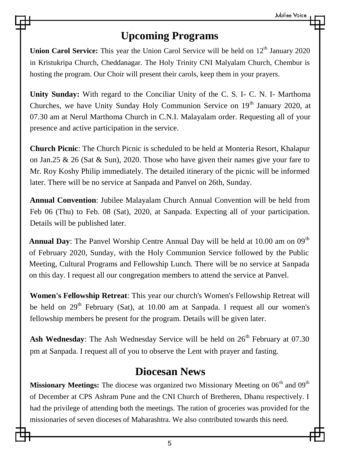### **Upcoming Programs**

**Union Carol Service:** This year the Union Carol Service will be held on 12<sup>th</sup> January 2020 in Kristukripa Church, Cheddanagar. The Holy Trinity CNI Malyalam Church, Chembur is hosting the program. Our Choir will present their carols, keep them in your prayers.

**Unity Sunday:** With regard to the Conciliar Unity of the C. S. I- C. N. I- Marthoma Churches, we have Unity Sunday Holy Communion Service on  $19<sup>th</sup>$  January 2020, at 07.30 am at Nerul Marthoma Church in C.N.I. Malayalam order. Requesting all of your presence and active participation in the service.

**Church Picnic**: The Church Picnic is scheduled to be held at Monteria Resort, Khalapur on Jan.25  $\&$  26 (Sat  $\&$  Sun), 2020. Those who have given their names give your fare to Mr. Roy Koshy Philip immediately. The detailed itinerary of the picnic will be informed later. There will be no service at Sanpada and Panvel on 26th, Sunday.

**Annual Convention**: Jubilee Malayalam Church Annual Convention will be held from Feb 06 (Thu) to Feb. 08 (Sat), 2020, at Sanpada. Expecting all of your participation. Details will be published later.

Annual Day: The Panvel Worship Centre Annual Day will be held at 10.00 am on 09<sup>th</sup> of February 2020, Sunday, with the Holy Communion Service followed by the Public Meeting, Cultural Programs and Fellowship Lunch. There will be no service at Sanpada on this day. I request all our congregation members to attend the service at Panvel.

**Women's Fellowship Retreat**: This year our church's Women's Fellowship Retreat will be held on  $29<sup>th</sup>$  February (Sat), at 10.00 am at Sanpada. I request all our women's fellowship members be present for the program. Details will be given later.

Ash Wednesday: The Ash Wednesday Service will be held on  $26<sup>th</sup>$  February at 07.30 pm at Sanpada. I request all of you to observe the Lent with prayer and fasting.

### **Diocesan News**

Missionary Meetings: The diocese was organized two Missionary Meeting on 06<sup>th</sup> and 09<sup>th</sup> of December at CPS Ashram Pune and the CNI Church of Bretheren, Dhanu respectively. I had the privilege of attending both the meetings. The ration of groceries was provided for the missionaries of seven dioceses of Maharashtra. We also contributed towards this need.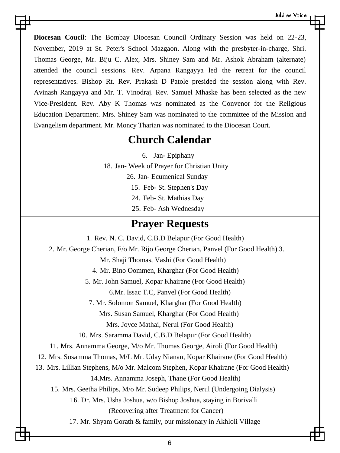**Diocesan Coucil**: The Bombay Diocesan Council Ordinary Session was held on 22-23, November, 2019 at St. Peter's School Mazgaon. Along with the presbyter-in-charge, Shri. Thomas George, Mr. Biju C. Alex, Mrs. Shiney Sam and Mr. Ashok Abraham (alternate) attended the council sessions. Rev. Arpana Rangayya led the retreat for the council representatives. Bishop Rt. Rev. Prakash D Patole presided the session along with Rev. Avinash Rangayya and Mr. T. Vinodraj. Rev. Samuel Mhaske has been selected as the new Vice-President. Rev. Aby K Thomas was nominated as the Convenor for the Religious Education Department. Mrs. Shiney Sam was nominated to the committee of the Mission and Evangelism department. Mr. Moncy Tharian was nominated to the Diocesan Court.

### **Church Calendar**

6. Jan- Epiphany

18. Jan- Week of Prayer for Christian Unity

26. Jan- Ecumenical Sunday

15. Feb- St. Stephen's Day

24. Feb- St. Mathias Day

25. Feb- Ash Wednesday

### **Prayer Requests**

1. Rev. N. C. David, C.B.D Belapur (For Good Health) 2. Mr. George Cherian, F/o Mr. Rijo George Cherian, Panvel (For Good Health) 3. Mr. Shaji Thomas, Vashi (For Good Health) 4. Mr. Bino Oommen, Kharghar (For Good Health) 5. Mr. John Samuel, Kopar Khairane (For Good Health) 6.Mr. Issac T.C, Panvel (For Good Health) 7. Mr. Solomon Samuel, Kharghar (For Good Health) Mrs. Susan Samuel, Kharghar (For Good Health) Mrs. Joyce Mathai, Nerul (For Good Health) 10. Mrs. Saramma David, C.B.D Belapur (For Good Health) 11. Mrs. Annamma George, M/o Mr. Thomas George, Airoli (For Good Health) 12. Mrs. Sosamma Thomas, M/L Mr. Uday Nianan, Kopar Khairane (For Good Health) 13. Mrs. Lillian Stephens, M/o Mr. Malcom Stephen, Kopar Khairane (For Good Health) 14.Mrs. Annamma Joseph, Thane (For Good Health) 15. Mrs. Geetha Philips, M/o Mr. Sudeep Philips, Nerul (Undergoing Dialysis) 16. Dr. Mrs. Usha Joshua, w/o Bishop Joshua, staying in Borivalli (Recovering after Treatment for Cancer) 17. Mr. Shyam Gorath & family, our missionary in Akhloli Village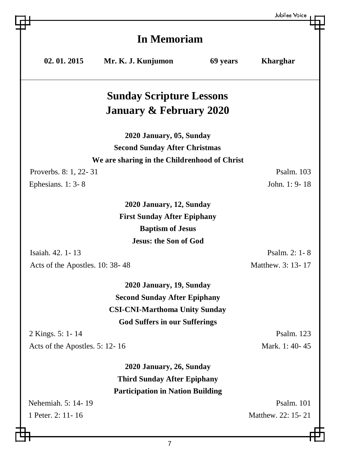|                                 |                                              |          | Jubilee Voice      |  |
|---------------------------------|----------------------------------------------|----------|--------------------|--|
|                                 |                                              |          |                    |  |
|                                 | <b>In Memoriam</b>                           |          |                    |  |
| 02.01.2015                      | Mr. K. J. Kunjumon                           | 69 years | <b>Kharghar</b>    |  |
|                                 |                                              |          |                    |  |
|                                 |                                              |          |                    |  |
|                                 | <b>Sunday Scripture Lessons</b>              |          |                    |  |
|                                 | <b>January &amp; February 2020</b>           |          |                    |  |
|                                 | 2020 January, 05, Sunday                     |          |                    |  |
|                                 | <b>Second Sunday After Christmas</b>         |          |                    |  |
|                                 | We are sharing in the Childrenhood of Christ |          |                    |  |
| Proverbs. 8: 1, 22-31           |                                              |          | Psalm. 103         |  |
| Ephesians. 1: 3-8               |                                              |          | John. 1: 9-18      |  |
|                                 |                                              |          |                    |  |
|                                 | 2020 January, 12, Sunday                     |          |                    |  |
|                                 | <b>First Sunday After Epiphany</b>           |          |                    |  |
|                                 | <b>Baptism of Jesus</b>                      |          |                    |  |
|                                 | <b>Jesus: the Son of God</b>                 |          |                    |  |
| Isaiah. 42. 1-13                |                                              |          | Psalm. 2: 1-8      |  |
| Acts of the Apostles. 10: 38-48 |                                              |          | Matthew. 3: 13-17  |  |
|                                 | 2020 January, 19, Sunday                     |          |                    |  |
|                                 | <b>Second Sunday After Epiphany</b>          |          |                    |  |
|                                 | <b>CSI-CNI-Marthoma Unity Sunday</b>         |          |                    |  |
|                                 | <b>God Suffers in our Sufferings</b>         |          |                    |  |
| 2 Kings. 5: 1-14                |                                              |          | Psalm. 123         |  |
| Acts of the Apostles. 5: 12-16  |                                              |          | Mark. 1: 40-45     |  |
|                                 | 2020 January, 26, Sunday                     |          |                    |  |
|                                 | <b>Third Sunday After Epiphany</b>           |          |                    |  |
|                                 | <b>Participation in Nation Building</b>      |          |                    |  |
| Nehemiah. 5: 14-19              |                                              |          | Psalm. 101         |  |
| 1 Peter. 2: 11-16               |                                              |          | Matthew. 22: 15-21 |  |
|                                 |                                              |          |                    |  |

巴

曲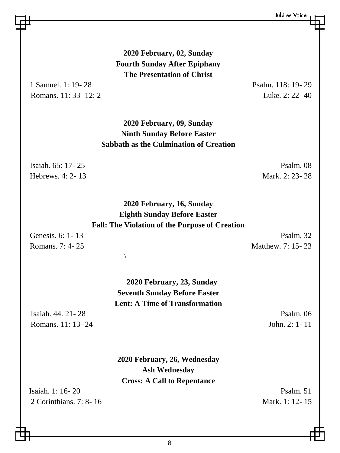**2020 February, 02, Sunday Fourth Sunday After Epiphany The Presentation of Christ**

Romans.  $11: 33-12: 2$  Luke.  $2: 22-40$ 

1 Samuel. 1: 19- 28 Psalm. 118: 19- 29

**2020 February, 09, Sunday Ninth Sunday Before Easter Sabbath as the Culmination of Creation**

Hebrews. 4: 2- 13 Mark. 2: 23- 28

Isaiah. 65: 17- 25 Psalm. 08

**2020 February, 16, Sunday Eighth Sunday Before Easter Fall: The Violation of the Purpose of Creation**

 $\setminus$ 

Genesis. 6: 1-13 Psalm. 32 Romans. 7: 4-25 Matthew. 7: 15-23

> **2020 February, 23, Sunday Seventh Sunday Before Easter Lent: A Time of Transformation**

Isaiah. 44. 21- 28 Psalm. 06 Romans. 11: 13- 24 John. 2: 1- 11

**2020 February, 26, Wednesday Ash Wednesday Cross: A Call to Repentance**

Isaiah.  $1: 16-20$  Psalm. 51 2 Corinthians. 7: 8- 16 Mark. 1: 12- 15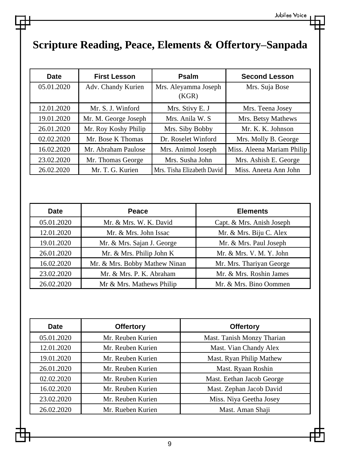### **Scripture Reading, Peace, Elements & Offertory–Sanpada**

| Date       | <b>First Lesson</b>  | Psalm                         | <b>Second Lesson</b>       |
|------------|----------------------|-------------------------------|----------------------------|
| 05.01.2020 | Adv. Chandy Kurien   | Mrs. Aleyamma Joseph<br>(KGR) | Mrs. Suja Bose             |
| 12.01.2020 | Mr. S. J. Winford    | Mrs. Stivy E. J               | Mrs. Teena Josey           |
| 19.01.2020 | Mr. M. George Joseph | Mrs. Anila W. S.              | Mrs. Betsy Mathews         |
| 26.01.2020 | Mr. Roy Koshy Philip | Mrs. Siby Bobby               | Mr. K. K. Johnson          |
| 02.02.2020 | Mr. Bose K Thomas    | Dr. Roselet Winford           | Mrs. Molly B. George       |
| 16.02.2020 | Mr. Abraham Paulose  | Mrs. Animol Joseph            | Miss. Aleena Mariam Philip |
| 23.02.2020 | Mr. Thomas George    | Mrs. Susha John               | Mrs. Ashish E. George      |
| 26.02.2020 | Mr. T. G. Kurien     | Mrs. Tisha Elizabeth David    | Miss. Aneeta Ann John      |

| <b>Date</b> | Peace                         | <b>Elements</b>           |
|-------------|-------------------------------|---------------------------|
| 05.01.2020  | Mr. & Mrs. W. K. David        | Capt. & Mrs. Anish Joseph |
| 12.01.2020  | Mr. & Mrs. John Issac         | Mr. & Mrs. Biju C. Alex   |
| 19.01.2020  | Mr. & Mrs. Sajan J. George    | Mr. & Mrs. Paul Joseph    |
| 26.01.2020  | Mr. & Mrs. Philip John K      | Mr. & Mrs. V. M. Y. John  |
| 16.02.2020  | Mr. & Mrs. Bobby Mathew Ninan | Mr. Mrs. Thariyan George  |
| 23.02.2020  | Mr. & Mrs. P. K. Abraham      | Mr. & Mrs. Roshin James   |
| 26.02.2020  | Mr & Mrs. Mathews Philip      | Mr. & Mrs. Bino Oommen    |

| Date       | <b>Offertory</b>  | <b>Offertory</b>           |  |
|------------|-------------------|----------------------------|--|
| 05.01.2020 | Mr. Reuben Kurien | Mast. Tanish Monzy Tharian |  |
| 12.01.2020 | Mr. Reuben Kurien | Mast. Vian Chandy Alex     |  |
| 19.01.2020 | Mr. Reuben Kurien | Mast. Ryan Philip Mathew   |  |
| 26.01.2020 | Mr. Reuben Kurien | Mast. Ryaan Roshin         |  |
| 02.02.2020 | Mr. Reuben Kurien | Mast. Eethan Jacob George  |  |
| 16.02.2020 | Mr. Reuben Kurien | Mast. Zephan Jacob David   |  |
| 23.02.2020 | Mr. Reuben Kurien | Miss. Niya Geetha Josey    |  |
| 26.02.2020 | Mr. Rueben Kurien | Mast. Aman Shaji           |  |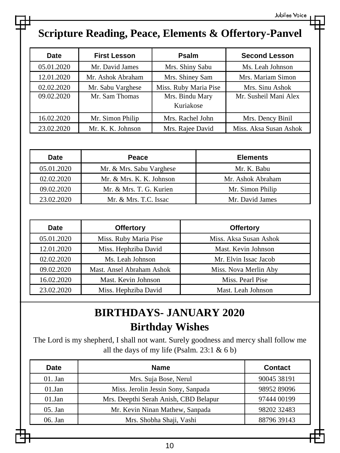# **Scripture Reading, Peace, Elements & Offertory-Panvel**

| Date       | <b>First Lesson</b> | Psalm                        | <b>Second Lesson</b>   |
|------------|---------------------|------------------------------|------------------------|
| 05.01.2020 | Mr. David James     | Mrs. Shiny Sabu              | Ms. Leah Johnson       |
| 12.01.2020 | Mr. Ashok Abraham   | Mrs. Shiney Sam              | Mrs. Mariam Simon      |
| 02.02.2020 | Mr. Sabu Varghese   | Miss. Ruby Maria Pise        | Mrs. Sinu Ashok        |
| 09.02.2020 | Mr. Sam Thomas      | Mrs. Bindu Mary<br>Kuriakose | Mr. Susheil Mani Alex  |
| 16.02.2020 | Mr. Simon Philip    | Mrs. Rachel John             | Mrs. Dency Binil       |
| 23.02.2020 | Mr. K. K. Johnson   | Mrs. Rajee David             | Miss. Aksa Susan Ashok |

| <b>Date</b> | Peace                    | <b>Elements</b>   |
|-------------|--------------------------|-------------------|
| 05.01.2020  | Mr. & Mrs. Sabu Varghese | Mr. K. Babu       |
| 02.02.2020  | Mr. & Mrs. K. K. Johnson | Mr. Ashok Abraham |
| 09.02.2020  | Mr. & Mrs. T. G. Kurien  | Mr. Simon Philip  |
| 23.02.2020  | Mr. & Mrs. T.C. Issac    | Mr. David James   |

| Date       | <b>Offertory</b>                                   | <b>Offertory</b>       |
|------------|----------------------------------------------------|------------------------|
| 05.01.2020 | Miss. Ruby Maria Pise                              | Miss. Aksa Susan Ashok |
| 12.01.2020 | Miss. Hephziba David                               | Mast. Kevin Johnson    |
| 02.02.2020 | Ms. Leah Johnson                                   | Mr. Elvin Issac Jacob  |
| 09.02.2020 | Mast. Ansel Abraham Ashok<br>Miss. Nova Merlin Aby |                        |
| 16.02.2020 | Mast. Kevin Johnson<br>Miss. Pearl Pise            |                        |
| 23.02.2020 | Miss. Hephziba David                               | Mast. Leah Johnson     |

### **BIRTHDAYS- JANUARY 2020 Birthday Wishes**

The Lord is my shepherd, I shall not want. Surely goodness and mercy shall follow me all the days of my life (Psalm. 23:1 & 6 b)

| <b>Name</b>                                          | <b>Contact</b> |
|------------------------------------------------------|----------------|
| Mrs. Suja Bose, Nerul                                | 90045 38191    |
| Miss. Jerolin Jessin Sony, Sanpada<br>98952 89096    |                |
| Mrs. Deepthi Serah Anish, CBD Belapur<br>97444 00199 |                |
| Mr. Kevin Ninan Mathew, Sanpada                      | 98202 32483    |
| Mrs. Shobha Shaji, Vashi<br>88796 39143              |                |
|                                                      |                |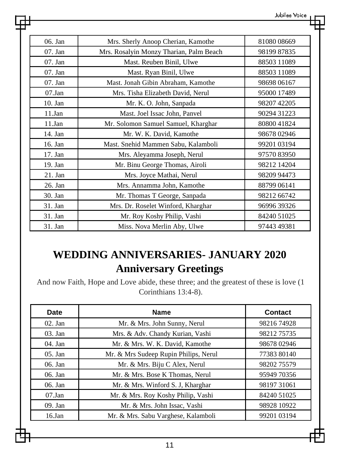| 06. Jan   | Mrs. Sherly Anoop Cherian, Kamothe      | 8108008669  |
|-----------|-----------------------------------------|-------------|
| 07. Jan   | Mrs. Rosalyin Monzy Tharian, Palm Beach | 98199 87835 |
| 07. Jan   | Mast. Reuben Binil, Ulwe                | 88503 11089 |
| 07. Jan   | Mast. Ryan Binil, Ulwe                  | 88503 11089 |
| $07.$ Jan | Mast. Jonah Gibin Abraham, Kamothe      | 98698 06167 |
| 07.Jan    | Mrs. Tisha Elizabeth David, Nerul       | 95000 17489 |
| $10.$ Jan | Mr. K. O. John, Sanpada                 | 98207 42205 |
| 11.Jan    | Mast. Joel Issac John, Panvel           | 90294 31223 |
| 11.Jan    | Mr. Solomon Samuel Samuel, Kharghar     | 8080041824  |
| 14. Jan   | Mr. W. K. David, Kamothe                | 98678 02946 |
| 16. Jan   | Mast. Snehid Mammen Sabu, Kalamboli     | 99201 03194 |
| 17. Jan   | Mrs. Aleyamma Joseph, Nerul             | 9757083950  |
| 19. Jan   | Mr. Binu George Thomas, Airoli          | 98212 14204 |
| $21.$ Jan | Mrs. Joyce Mathai, Nerul                | 98209 94473 |
| 26. Jan   | Mrs. Annamma John, Kamothe              | 88799 06141 |
| 30. Jan   | Mr. Thomas T George, Sanpada            | 98212 66742 |
| $31.$ Jan | Mrs. Dr. Roselet Winford, Kharghar      | 96996 39326 |
| 31. Jan   | Mr. Roy Koshy Philip, Vashi             | 84240 51025 |
| 31. Jan   | Miss. Nova Merlin Aby, Ulwe             | 97443 49381 |

### **WEDDING ANNIVERSARIES- JANUARY 2020 Anniversary Greetings**

And now Faith, Hope and Love abide, these three; and the greatest of these is love (1 Corinthians 13:4-8).

| Date      | <b>Name</b>                           | Contact     |
|-----------|---------------------------------------|-------------|
| $02.$ Jan | Mr. & Mrs. John Sunny, Nerul          | 98216 74928 |
| $03.$ Jan | Mrs. & Adv. Chandy Kurian, Vashi      | 98212 75735 |
| $04.$ Jan | Mr. & Mrs. W. K. David, Kamothe       | 98678 02946 |
| $05.$ Jan | Mr. & Mrs Sudeep Rupin Philips, Nerul | 77383 80140 |
| 06. Jan   | Mr. & Mrs. Biju C Alex, Nerul         | 98202 75579 |
| 06. Jan   | Mr. & Mrs. Bose K Thomas, Nerul       | 95949 70356 |
| 06. Jan   | Mr. & Mrs. Winford S. J. Kharghar     | 98197 31061 |
| $07$ .Jan | Mr. & Mrs. Roy Koshy Philip, Vashi    | 84240 51025 |
| 09. Jan   | Mr. & Mrs. John Issac, Vashi          | 98928 10922 |
| $16$ .Jan | Mr. & Mrs. Sabu Varghese, Kalamboli   | 99201 03194 |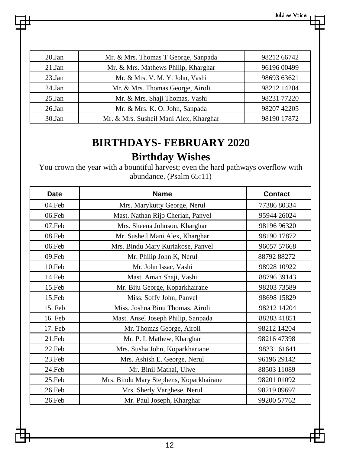| 20.Ian    | Mr. & Mrs. Thomas T George, Sanpada    | 98212 66742 |
|-----------|----------------------------------------|-------------|
| $21$ .Jan | Mr. & Mrs. Mathews Philip, Kharghar    | 96196 00499 |
| 23.Jan    | Mr. & Mrs. V. M. Y. John, Vashi        | 98693 63621 |
| $24$ .Jan | Mr. & Mrs. Thomas George, Airoli       | 98212 14204 |
| $25$ .Jan | Mr. & Mrs. Shaji Thomas, Vashi         | 98231 77220 |
| $26$ .Jan | Mr. & Mrs. K. O. John, Sanpada         | 98207 42205 |
| 30.Jan    | Mr. & Mrs. Susheil Mani Alex, Kharghar | 98190 17872 |

### **BIRTHDAYS- FEBRUARY 2020 Birthday Wishes**

You crown the year with a bountiful harvest; even the hard pathways overflow with abundance. (Psalm 65:11)

| Date    | <b>Name</b>                             | <b>Contact</b> |
|---------|-----------------------------------------|----------------|
| 04.Feb  | Mrs. Marykutty George, Nerul            | 77386 80334    |
| 06.Feb  | Mast. Nathan Rijo Cherian, Panvel       | 95944 26024    |
| 07.Feb  | Mrs. Sheena Johnson, Kharghar           | 98196 96320    |
| 08.Feb  | Mr. Susheil Mani Alex, Kharghar         | 98190 17872    |
| 06.Feb  | Mrs. Bindu Mary Kuriakose, Panvel       | 96057 57668    |
| 09.Feb  | Mr. Philip John K, Nerul                | 88792 88272    |
| 10.Feb  | Mr. John Issac, Vashi                   | 98928 10922    |
| 14.Feb  | Mast. Aman Shaji, Vashi                 | 88796 39143    |
| 15.Feb  | Mr. Biju George, Koparkhairane          | 98203 73589    |
| 15.Feb  | Miss. Soffy John, Panvel                | 98698 15829    |
| 15. Feb | Miss. Joshna Binu Thomas, Airoli        | 98212 14204    |
| 16. Feb | Mast. Ansel Joseph Philip, Sanpada      | 88283 41851    |
| 17. Feb | Mr. Thomas George, Airoli               | 98212 14204    |
| 21.Feb  | Mr. P. I. Mathew, Kharghar              | 9821647398     |
| 22.Feb  | Mrs. Susha John, Koparkhariane          | 98331 61641    |
| 23.Feb  | Mrs. Ashish E. George, Nerul            | 96196 29142    |
| 24.Feb  | Mr. Binil Mathai, Ulwe                  | 88503 11089    |
| 25.Feb  | Mrs. Bindu Mary Stephens, Koparkhairane | 98201 01092    |
| 26.Feb  | Mrs. Sherly Varghese, Nerul             | 98219 09697    |
| 26.Feb  | Mr. Paul Joseph, Kharghar               | 99200 57762    |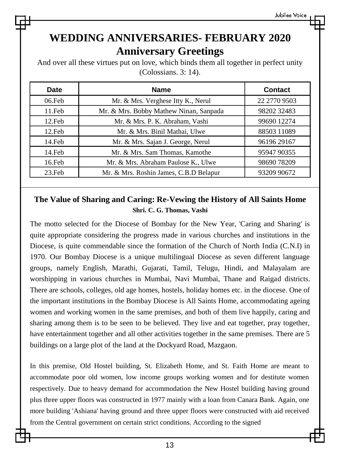### **WEDDING ANNIVERSARIES- FEBRUARY 2020 Anniversary Greetings**

And over all these virtues put on love, which binds them all together in perfect unity (Colossians. 3: 14).

| <b>Date</b> | <b>Name</b>                            | Contact      |
|-------------|----------------------------------------|--------------|
| 06.Feb      | Mr. & Mrs. Verghese Itty K., Nerul     | 22 2770 9503 |
| 11.Feb      | Mr. & Mrs. Bobby Mathew Ninan, Sanpada | 98202 32483  |
| 12.Feb      | Mr. & Mrs. P. K. Abraham, Vashi        | 99690 12274  |
| 12.Feb      | Mr. & Mrs. Binil Mathai, Ulwe          | 88503 11089  |
| 14.Feb      | Mr. & Mrs. Sajan J. George, Nerul      | 9619629167   |
| 14.Feb      | Mr. & Mrs. Sam Thomas, Kamothe         | 95947 90355  |
| 16.Feb      | Mr. & Mrs. Abraham Paulose K., Ulwe    | 9869078209   |
| 23.Feb      | Mr. & Mrs. Roshin James, C.B.D Belapur | 93209 90672  |

#### **The Value of Sharing and Caring: Re-Vewing the History of All Saints Home Shri. C. G. Thomas, Vashi**

The motto selected for the Diocese of Bombay for the New Year, 'Caring and Sharing' is quite appropriate considering the progress made in various churches and institutions in the Diocese, is quite commendable since the formation of the Church of North India (C.N.I) in 1970. Our Bombay Diocese is a unique multilingual Diocese as seven different language groups, namely English, Marathi, Gujarati, Tamil, Telugu, Hindi, and Malayalam are worshipping in various churches in Mumbai, Navi Mumbai, Thane and Raigad districts. There are schools, colleges, old age homes, hostels, holiday homes etc. in the diocese. One of the important institutions in the Bombay Diocese is All Saints Home, accommodating ageing women and working women in the same premises, and both of them live happily, caring and sharing among them is to be seen to be believed. They live and eat together, pray together, have entertainment together and all other activities together in the same premises. There are 5 buildings on a large plot of the land at the Dockyard Road, Mazgaon.

In this premise, Old Hostel building, St. Elizabeth Home, and St. Faith Home are meant to accommodate poor old women, low income groups working women and for destitute women respectively. Due to heavy demand for accommodation the New Hostel building having ground plus three upper floors was constructed in 1977 mainly with a loan from Canara Bank. Again, one more building 'Ashiana' having ground and three upper floors were constructed with aid received from the Central government on certain strict conditions. According to the signed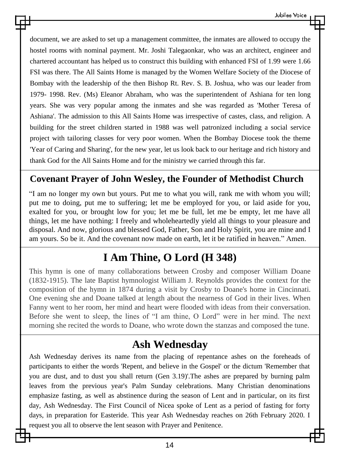document, we are asked to set up a management committee, the inmates are allowed to occupy the hostel rooms with nominal payment. Mr. Joshi Talegaonkar, who was an architect, engineer and chartered accountant has helped us to construct this building with enhanced FSI of 1.99 were 1.66 FSI was there. The All Saints Home is managed by the Women Welfare Society of the Diocese of Bombay with the leadership of the then Bishop Rt. Rev. S. B. Joshua, who was our leader from 1979- 1998. Rev. (Ms) Eleanor Abraham, who was the superintendent of Ashiana for ten long years. She was very popular among the inmates and she was regarded as 'Mother Teresa of Ashiana'. The admission to this All Saints Home was irrespective of castes, class, and religion. A building for the street children started in 1988 was well patronized including a social service project with tailoring classes for very poor women. When the Bombay Diocese took the theme 'Year of Caring and Sharing', for the new year, let us look back to our heritage and rich history and thank God for the All Saints Home and for the ministry we carried through this far.

#### **Covenant Prayer of John Wesley, the Founder of Methodist Church**

"I am no longer my own but yours. Put me to what you will, rank me with whom you will; put me to doing, put me to suffering; let me be employed for you, or laid aside for you, exalted for you, or brought low for you; let me be full, let me be empty, let me have all things, let me have nothing: I freely and wholeheartedly yield all things to your pleasure and disposal. And now, glorious and blessed God, Father, Son and Holy Spirit, you are mine and I am yours. So be it. And the covenant now made on earth, let it be ratified in heaven." Amen.

### **I Am Thine, O Lord (H 348)**

This hymn is one of many collaborations between Crosby and composer William Doane (1832-1915). The late Baptist hymnologist William J. Reynolds provides the context for the composition of the hymn in 1874 during a visit by Crosby to Doane's home in Cincinnati. One evening she and Doane talked at length about the nearness of God in their lives. When Fanny went to her room, her mind and heart were flooded with ideas from their conversation. Before she went to sleep, the lines of "I am thine, O Lord" were in her mind. The next morning she recited the words to Doane, who wrote down the stanzas and composed the tune.

### **Ash Wednesday**

Ash Wednesday derives its name from the placing of repentance ashes on the foreheads of participants to either the words 'Repent, and believe in the Gospel' or the dictum 'Remember that you are dust, and to dust you shall return (Gen 3.19)'.The ashes are prepared by burning palm leaves from the previous year's Palm Sunday celebrations. Many Christian denominations emphasize fasting, as well as abstinence during the season of Lent and in particular, on its first day, Ash Wednesday. The First Council of Nicea spoke of Lent as a period of fasting for forty days, in preparation for Easteride. This year Ash Wednesday reaches on 26th February 2020. I request you all to observe the lent season with Prayer and Penitence.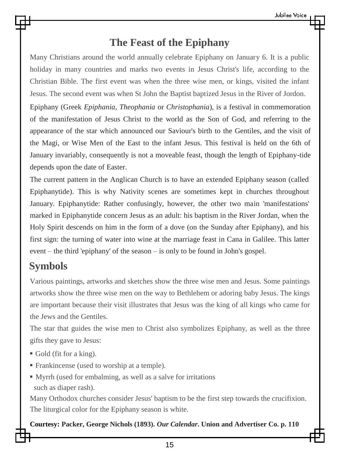### **The Feast of the Epiphany**

Many Christians around the world annually celebrate Epiphany on January 6. It is a public holiday in many countries and marks two events in Jesus Christ's life, according to the Christian Bible. The first event was when the three wise men, or kings, visited the infant Jesus. The second event was when St John the Baptist baptized Jesus in the River of Jordon.

Epiphany (Greek *Epiphania*, *Theophania* or *Christophania*), is a festival in commemoration of the manifestation of Jesus Christ to the world as the Son of God, and referring to the appearance of the star which announced our Saviour's birth to the Gentiles, and the visit of the Magi, or Wise Men of the East to the infant Jesus. This festival is held on the 6th of January invariably, consequently is not a moveable feast, though the length of Epiphany-tide depends upon the date of Easter.

The current pattern in the Anglican Church is to have an extended Epiphany season (called Epiphanytide). This is why Nativity scenes are sometimes kept in churches throughout January. Epiphanytide: Rather confusingly, however, the other two main 'manifestations' marked in Epiphanytide concern Jesus as an adult: his baptism in the River Jordan, when the Holy Spirit descends on him in the form of a dove (on the Sunday after Epiphany), and his first sign: the turning of water into wine at the marriage feast in Cana in Galilee. This latter event – the third 'epiphany' of the season – is only to be found in John's gospel.

### **Symbols**

Various paintings, artworks and sketches show the three wise men and Jesus. Some paintings artworks show the three wise men on the way to Bethlehem or adoring baby Jesus. The kings are important because their visit illustrates that Jesus was the king of all kings who came for the Jews and the Gentiles.

The star that guides the wise men to Christ also symbolizes Epiphany, as well as the three gifts they gave to Jesus:

- Gold (fit for a king).
- Frankincense (used to worship at a temple).
- Myrrh (used for embalming, as well as a salve for irritations such as diaper rash).

Many Orthodox churches consider Jesus' baptism to be the first step towards the crucifixion. The liturgical color for the Epiphany season is white.

**Courtesy: Packer, George Nichols (1893).** *Our Calendar***. Union and Advertiser Co. p. 110**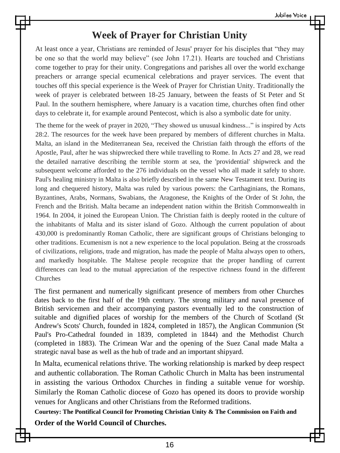#### **Week of Prayer for Christian Unity**

At least once a year, Christians are reminded of Jesus' prayer for his disciples that "they may be one so that the world may believe" (see John 17.21). Hearts are touched and Christians come together to pray for their unity. Congregations and parishes all over the world exchange preachers or arrange special ecumenical celebrations and prayer services. The event that touches off this special experience is the Week of Prayer for Christian Unity. Traditionally the week of prayer is celebrated between 18-25 January, between the feasts of St Peter and St Paul. In the southern hemisphere, where January is a vacation time, churches often find other days to celebrate it, for example around Pentecost, which is also a symbolic date for unity.

The theme for the week of prayer in 2020, "They showed us unusual kindness..." is inspired by Acts 28:2. The resources for the week have been prepared by members of different churches in Malta. Malta, an island in the Mediterranean Sea, received the Christian faith through the efforts of the Apostle, Paul, after he was shipwrecked there while travelling to Rome. In Acts 27 and 28, we read the detailed narrative describing the terrible storm at sea, the 'providential' shipwreck and the subsequent welcome afforded to the 276 individuals on the vessel who all made it safely to shore. Paul's healing ministry in Malta is also briefly described in the same New Testament text. During its long and chequered history, Malta was ruled by various powers: the Carthaginians, the Romans, Byzantines, Arabs, Normans, Swabians, the Aragonese, the Knights of the Order of St John, the French and the British. Malta became an independent nation within the British Commonwealth in 1964. In 2004, it joined the European Union. The Christian faith is deeply rooted in the culture of the inhabitants of Malta and its sister island of Gozo. Although the current population of about 430,000 is predominantly Roman Catholic, there are significant groups of Christians belonging to other traditions. Ecumenism is not a new experience to the local population. Being at the crossroads of civilizations, religions, trade and migration, has made the people of Malta always open to others, and markedly hospitable. The Maltese people recognize that the proper handling of current differences can lead to the mutual appreciation of the respective richness found in the different Churches

The first permanent and numerically significant presence of members from other Churches dates back to the first half of the 19th century. The strong military and naval presence of British servicemen and their accompanying pastors eventually led to the construction of suitable and dignified places of worship for the members of the Church of Scotland (St Andrew's Scots' Church, founded in 1824, completed in 1857), the Anglican Communion (St Paul's Pro-Cathedral founded in 1839, completed in 1844) and the Methodist Church (completed in 1883). The Crimean War and the opening of the Suez Canal made Malta a strategic naval base as well as the hub of trade and an important shipyard.

In Malta, ecumenical relations thrive. The working relationship is marked by deep respect and authentic collaboration. The Roman Catholic Church in Malta has been instrumental in assisting the various Orthodox Churches in finding a suitable venue for worship. Similarly the Roman Catholic diocese of Gozo has opened its doors to provide worship venues for Anglicans and other Christians from the Reformed traditions.

**Courtesy: The Pontifical Council for Promoting Christian Unity & The Commission on Faith and Order of the World Council of Churches.**